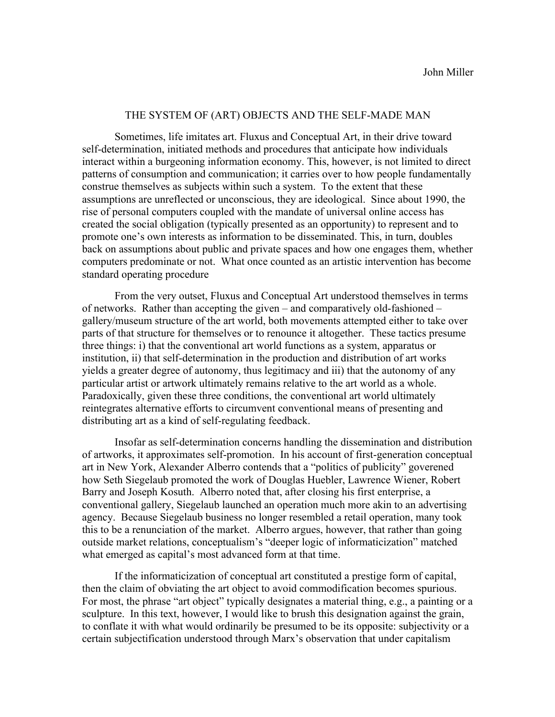## THE SYSTEM OF (ART) OBJECTS AND THE SELF-MADE MAN

Sometimes, life imitates art. Fluxus and Conceptual Art, in their drive toward self-determination, initiated methods and procedures that anticipate how individuals interact within a burgeoning information economy. This, however, is not limited to direct patterns of consumption and communication; it carries over to how people fundamentally construe themselves as subjects within such a system. To the extent that these assumptions are unreflected or unconscious, they are ideological. Since about 1990, the rise of personal computers coupled with the mandate of universal online access has created the social obligation (typically presented as an opportunity) to represent and to promote one's own interests as information to be disseminated. This, in turn, doubles back on assumptions about public and private spaces and how one engages them, whether computers predominate or not. What once counted as an artistic intervention has become standard operating procedure

From the very outset, Fluxus and Conceptual Art understood themselves in terms of networks. Rather than accepting the given – and comparatively old-fashioned – gallery/museum structure of the art world, both movements attempted either to take over parts of that structure for themselves or to renounce it altogether. These tactics presume three things: i) that the conventional art world functions as a system, apparatus or institution, ii) that self-determination in the production and distribution of art works yields a greater degree of autonomy, thus legitimacy and iii) that the autonomy of any particular artist or artwork ultimately remains relative to the art world as a whole. Paradoxically, given these three conditions, the conventional art world ultimately reintegrates alternative efforts to circumvent conventional means of presenting and distributing art as a kind of self-regulating feedback.

Insofar as self-determination concerns handling the dissemination and distribution of artworks, it approximates self-promotion. In his account of first-generation conceptual art in New York, Alexander Alberro contends that a "politics of publicity" goverened how Seth Siegelaub promoted the work of Douglas Huebler, Lawrence Wiener, Robert Barry and Joseph Kosuth. Alberro noted that, after closing his first enterprise, a conventional gallery, Siegelaub launched an operation much more akin to an advertising agency. Because Siegelaub business no longer resembled a retail operation, many took this to be a renunciation of the market. Alberro argues, however, that rather than going outside market relations, conceptualism's "deeper logic of informaticization" matched what emerged as capital's most advanced form at that time.

If the informaticization of conceptual art constituted a prestige form of capital, then the claim of obviating the art object to avoid commodification becomes spurious. For most, the phrase "art object" typically designates a material thing, e.g., a painting or a sculpture. In this text, however, I would like to brush this designation against the grain, to conflate it with what would ordinarily be presumed to be its opposite: subjectivity or a certain subjectification understood through Marx's observation that under capitalism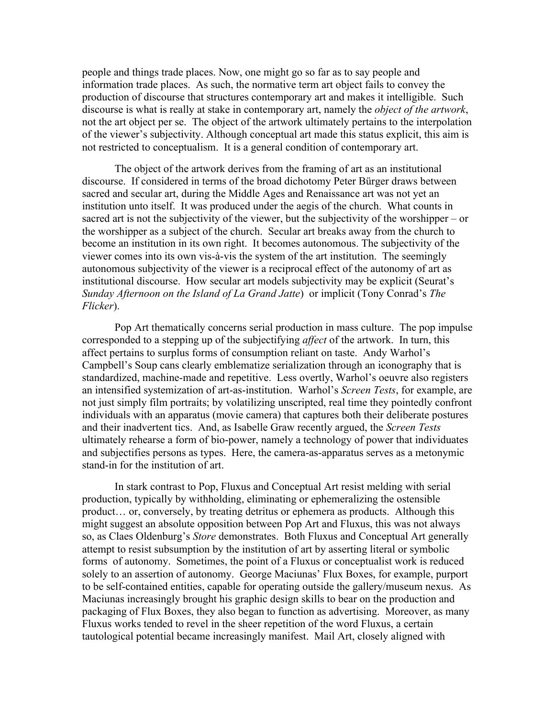people and things trade places. Now, one might go so far as to say people and information trade places. As such, the normative term art object fails to convey the production of discourse that structures contemporary art and makes it intelligible. Such discourse is what is really at stake in contemporary art, namely the *object of the artwork*, not the art object per se. The object of the artwork ultimately pertains to the interpolation of the viewer's subjectivity. Although conceptual art made this status explicit, this aim is not restricted to conceptualism. It is a general condition of contemporary art.

The object of the artwork derives from the framing of art as an institutional discourse. If considered in terms of the broad dichotomy Peter Bürger draws between sacred and secular art, during the Middle Ages and Renaissance art was not yet an institution unto itself. It was produced under the aegis of the church. What counts in sacred art is not the subjectivity of the viewer, but the subjectivity of the worshipper – or the worshipper as a subject of the church. Secular art breaks away from the church to become an institution in its own right. It becomes autonomous. The subjectivity of the viewer comes into its own vis-à-vis the system of the art institution. The seemingly autonomous subjectivity of the viewer is a reciprocal effect of the autonomy of art as institutional discourse. How secular art models subjectivity may be explicit (Seurat's *Sunday Afternoon on the Island of La Grand Jatte*) or implicit (Tony Conrad's *The Flicker*).

Pop Art thematically concerns serial production in mass culture. The pop impulse corresponded to a stepping up of the subjectifying *affect* of the artwork. In turn, this affect pertains to surplus forms of consumption reliant on taste. Andy Warhol's Campbell's Soup cans clearly emblematize serialization through an iconography that is standardized, machine-made and repetitive. Less overtly, Warhol's oeuvre also registers an intensified systemization of art-as-institution. Warhol's *Screen Tests*, for example, are not just simply film portraits; by volatilizing unscripted, real time they pointedly confront individuals with an apparatus (movie camera) that captures both their deliberate postures and their inadvertent tics. And, as Isabelle Graw recently argued, the *Screen Tests* ultimately rehearse a form of bio-power, namely a technology of power that individuates and subjectifies persons as types. Here, the camera-as-apparatus serves as a metonymic stand-in for the institution of art.

In stark contrast to Pop, Fluxus and Conceptual Art resist melding with serial production, typically by withholding, eliminating or ephemeralizing the ostensible product… or, conversely, by treating detritus or ephemera as products. Although this might suggest an absolute opposition between Pop Art and Fluxus, this was not always so, as Claes Oldenburg's *Store* demonstrates. Both Fluxus and Conceptual Art generally attempt to resist subsumption by the institution of art by asserting literal or symbolic forms of autonomy. Sometimes, the point of a Fluxus or conceptualist work is reduced solely to an assertion of autonomy. George Maciunas' Flux Boxes, for example, purport to be self-contained entities, capable for operating outside the gallery/museum nexus. As Maciunas increasingly brought his graphic design skills to bear on the production and packaging of Flux Boxes, they also began to function as advertising. Moreover, as many Fluxus works tended to revel in the sheer repetition of the word Fluxus, a certain tautological potential became increasingly manifest. Mail Art, closely aligned with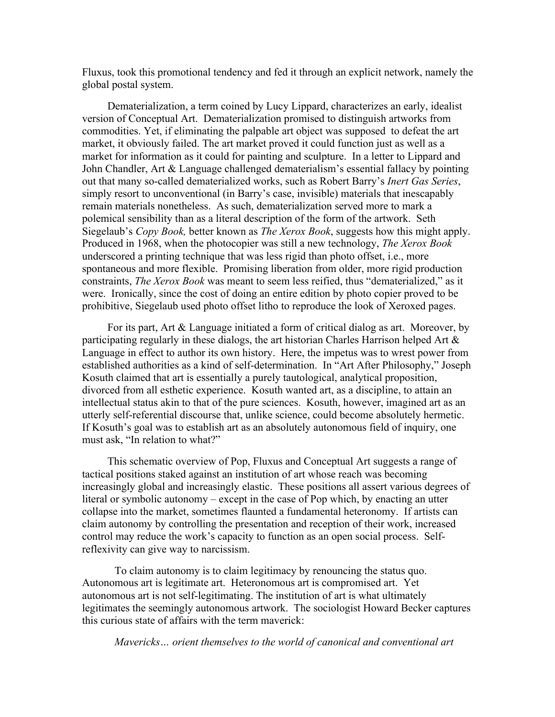Fluxus, took this promotional tendency and fed it through an explicit network, namely the global postal system.

Dematerialization, a term coined by Lucy Lippard, characterizes an early, idealist version of Conceptual Art. Dematerialization promised to distinguish artworks from commodities. Yet, if eliminating the palpable art object was supposed to defeat the art market, it obviously failed. The art market proved it could function just as well as a market for information as it could for painting and sculpture. In a letter to Lippard and John Chandler, Art & Language challenged dematerialism's essential fallacy by pointing out that many so-called dematerialized works, such as Robert Barry's *Inert Gas Series*, simply resort to unconventional (in Barry's case, invisible) materials that inescapably remain materials nonetheless. As such, dematerialization served more to mark a polemical sensibility than as a literal description of the form of the artwork. Seth Siegelaub's *Copy Book,* better known as *The Xerox Book*, suggests how this might apply. Produced in 1968, when the photocopier was still a new technology, *The Xerox Book*  underscored a printing technique that was less rigid than photo offset, i.e., more spontaneous and more flexible. Promising liberation from older, more rigid production constraints, *The Xerox Book* was meant to seem less reified, thus "dematerialized," as it were. Ironically, since the cost of doing an entire edition by photo copier proved to be prohibitive, Siegelaub used photo offset litho to reproduce the look of Xeroxed pages.

For its part, Art & Language initiated a form of critical dialog as art. Moreover, by participating regularly in these dialogs, the art historian Charles Harrison helped Art & Language in effect to author its own history. Here, the impetus was to wrest power from established authorities as a kind of self-determination. In "Art After Philosophy," Joseph Kosuth claimed that art is essentially a purely tautological, analytical proposition, divorced from all esthetic experience. Kosuth wanted art, as a discipline, to attain an intellectual status akin to that of the pure sciences. Kosuth, however, imagined art as an utterly self-referential discourse that, unlike science, could become absolutely hermetic. If Kosuth's goal was to establish art as an absolutely autonomous field of inquiry, one must ask, "In relation to what?"

This schematic overview of Pop, Fluxus and Conceptual Art suggests a range of tactical positions staked against an institution of art whose reach was becoming increasingly global and increasingly elastic. These positions all assert various degrees of literal or symbolic autonomy – except in the case of Pop which, by enacting an utter collapse into the market, sometimes flaunted a fundamental heteronomy. If artists can claim autonomy by controlling the presentation and reception of their work, increased control may reduce the work's capacity to function as an open social process. Selfreflexivity can give way to narcissism.

To claim autonomy is to claim legitimacy by renouncing the status quo. Autonomous art is legitimate art. Heteronomous art is compromised art. Yet autonomous art is not self-legitimating. The institution of art is what ultimately legitimates the seemingly autonomous artwork. The sociologist Howard Becker captures this curious state of affairs with the term maverick:

*Mavericks… orient themselves to the world of canonical and conventional art*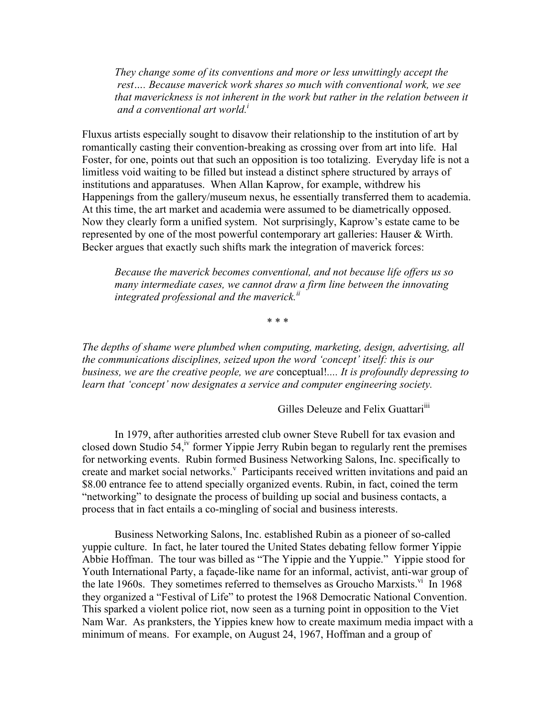*They change some of its conventions and more or less unwittingly accept the rest…. Because maverick work shares so much with conventional work, we see that maverickness is not inherent in the work but rather in the relation between it and a conventional art world.i*

Fluxus artists especially sought to disavow their relationship to the institution of art by romantically casting their convention-breaking as crossing over from art into life. Hal Foster, for one, points out that such an opposition is too totalizing. Everyday life is not a limitless void waiting to be filled but instead a distinct sphere structured by arrays of institutions and apparatuses. When Allan Kaprow, for example, withdrew his Happenings from the gallery/museum nexus, he essentially transferred them to academia. At this time, the art market and academia were assumed to be diametrically opposed. Now they clearly form a unified system. Not surprisingly, Kaprow's estate came to be represented by one of the most powerful contemporary art galleries: Hauser & Wirth. Becker argues that exactly such shifts mark the integration of maverick forces:

*Because the maverick becomes conventional, and not because life offers us so many intermediate cases, we cannot draw a firm line between the innovating integrated professional and the maverick.ii*

\* \* \*

*The depths of shame were plumbed when computing, marketing, design, advertising, all the communications disciplines, seized upon the word 'concept' itself: this is our business, we are the creative people, we are* conceptual!*.... It is profoundly depressing to learn that 'concept' now designates a service and computer engineering society.*

Gilles Deleuze and Felix Guattari<sup>iii</sup>

In 1979, after authorities arrested club owner Steve Rubell for tax evasion and closed down Studio 54,<sup> $\dot{v}$ </sup> former Yippie Jerry Rubin began to regularly rent the premises for networking events. Rubin formed Business Networking Salons, Inc. specifically to create and market social networks.<sup>v</sup> Participants received written invitations and paid an \$8.00 entrance fee to attend specially organized events. Rubin, in fact, coined the term "networking" to designate the process of building up social and business contacts, a process that in fact entails a co-mingling of social and business interests.

Business Networking Salons, Inc. established Rubin as a pioneer of so-called yuppie culture. In fact, he later toured the United States debating fellow former Yippie Abbie Hoffman. The tour was billed as "The Yippie and the Yuppie." Yippie stood for Youth International Party, a façade-like name for an informal, activist, anti-war group of the late 1960s. They sometimes referred to themselves as Groucho Marxists.<sup>vi</sup> In 1968 they organized a "Festival of Life" to protest the 1968 Democratic National Convention. This sparked a violent police riot, now seen as a turning point in opposition to the Viet Nam War. As pranksters, the Yippies knew how to create maximum media impact with a minimum of means. For example, on August 24, 1967, Hoffman and a group of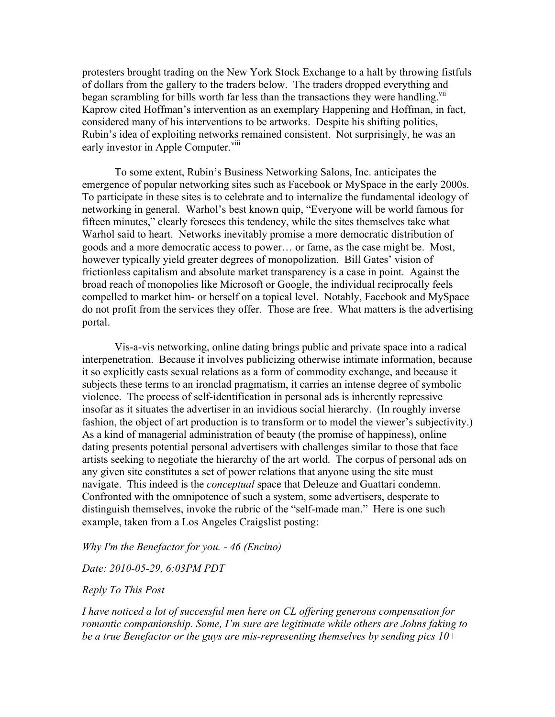protesters brought trading on the New York Stock Exchange to a halt by throwing fistfuls of dollars from the gallery to the traders below. The traders dropped everything and began scrambling for bills worth far less than the transactions they were handling.<sup>vii</sup> Kaprow cited Hoffman's intervention as an exemplary Happening and Hoffman, in fact, considered many of his interventions to be artworks. Despite his shifting politics, Rubin's idea of exploiting networks remained consistent. Not surprisingly, he was an early investor in Apple Computer.<sup>viii</sup>

To some extent, Rubin's Business Networking Salons, Inc. anticipates the emergence of popular networking sites such as Facebook or MySpace in the early 2000s. To participate in these sites is to celebrate and to internalize the fundamental ideology of networking in general. Warhol's best known quip, "Everyone will be world famous for fifteen minutes," clearly foresees this tendency, while the sites themselves take what Warhol said to heart. Networks inevitably promise a more democratic distribution of goods and a more democratic access to power… or fame, as the case might be. Most, however typically yield greater degrees of monopolization. Bill Gates' vision of frictionless capitalism and absolute market transparency is a case in point. Against the broad reach of monopolies like Microsoft or Google, the individual reciprocally feels compelled to market him- or herself on a topical level. Notably, Facebook and MySpace do not profit from the services they offer. Those are free. What matters is the advertising portal.

Vis-a-vis networking, online dating brings public and private space into a radical interpenetration. Because it involves publicizing otherwise intimate information, because it so explicitly casts sexual relations as a form of commodity exchange, and because it subjects these terms to an ironclad pragmatism, it carries an intense degree of symbolic violence. The process of self-identification in personal ads is inherently repressive insofar as it situates the advertiser in an invidious social hierarchy. (In roughly inverse fashion, the object of art production is to transform or to model the viewer's subjectivity.) As a kind of managerial administration of beauty (the promise of happiness), online dating presents potential personal advertisers with challenges similar to those that face artists seeking to negotiate the hierarchy of the art world. The corpus of personal ads on any given site constitutes a set of power relations that anyone using the site must navigate. This indeed is the *conceptual* space that Deleuze and Guattari condemn. Confronted with the omnipotence of such a system, some advertisers, desperate to distinguish themselves, invoke the rubric of the "self-made man." Here is one such example, taken from a Los Angeles Craigslist posting:

### *Why I'm the Benefactor for you. - 46 (Encino)*

*Date: 2010-05-29, 6:03PM PDT*

### *Reply To This Post*

*I have noticed a lot of successful men here on CL offering generous compensation for romantic companionship. Some, I'm sure are legitimate while others are Johns faking to be a true Benefactor or the guys are mis-representing themselves by sending pics 10+*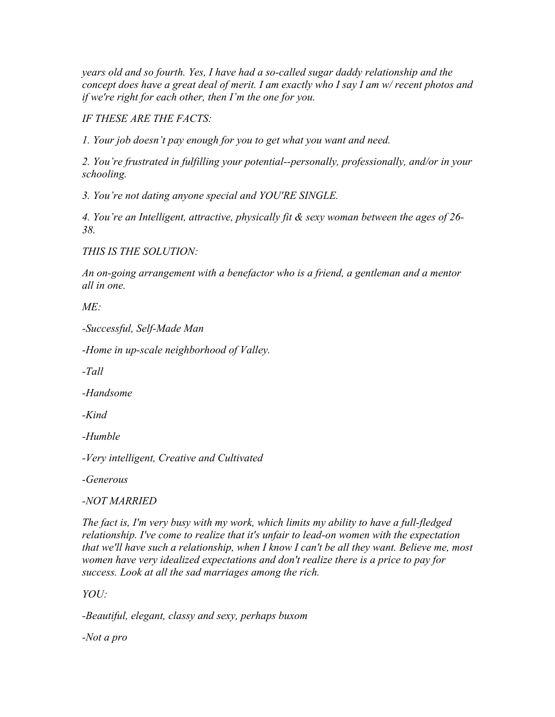*years old and so fourth. Yes, I have had a so-called sugar daddy relationship and the concept does have a great deal of merit. I am exactly who I say I am w/ recent photos and if we're right for each other, then I'm the one for you.*

*IF THESE ARE THE FACTS:*

*1. Your job doesn't pay enough for you to get what you want and need.*

*2. You're frustrated in fulfilling your potential--personally, professionally, and/or in your schooling.*

*3. You're not dating anyone special and YOU'RE SINGLE.*

*4. You're an Intelligent, attractive, physically fit & sexy woman between the ages of 26- 38.*

*THIS IS THE SOLUTION:*

*An on-going arrangement with a benefactor who is a friend, a gentleman and a mentor all in one.*

*ME:*

*-Successful, Self-Made Man*

*-Home in up-scale neighborhood of Valley.*

*-Tall*

*-Handsome*

*-Kind*

*-Humble*

*-Very intelligent, Creative and Cultivated*

*-Generous*

# *-NOT MARRIED*

*The fact is, I'm very busy with my work, which limits my ability to have a full-fledged relationship. I've come to realize that it's unfair to lead-on women with the expectation that we'll have such a relationship, when I know I can't be all they want. Believe me, most women have very idealized expectations and don't realize there is a price to pay for success. Look at all the sad marriages among the rich.*

*YOU:*

*-Beautiful, elegant, classy and sexy, perhaps buxom*

*-Not a pro*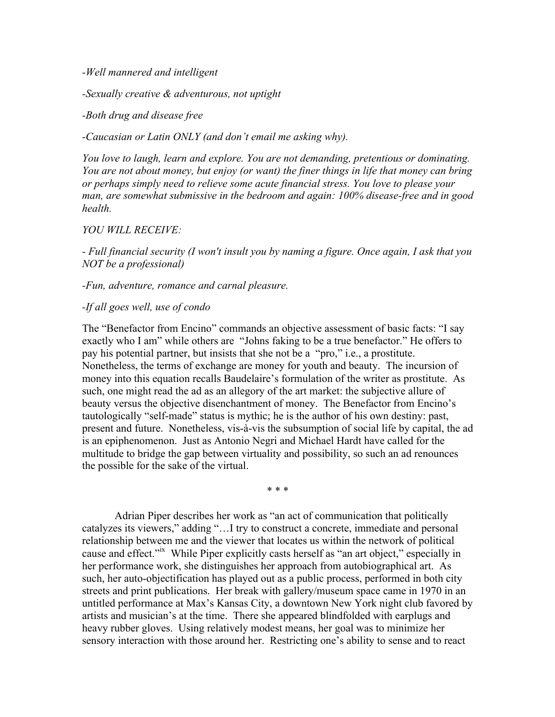*-Well mannered and intelligent*

*-Sexually creative & adventurous, not uptight*

*-Both drug and disease free*

*-Caucasian or Latin ONLY (and don't email me asking why).*

*You love to laugh, learn and explore. You are not demanding, pretentious or dominating. You are not about money, but enjoy (or want) the finer things in life that money can bring or perhaps simply need to relieve some acute financial stress. You love to please your man, are somewhat submissive in the bedroom and again: 100% disease-free and in good health.*

## *YOU WILL RECEIVE:*

*- Full financial security (I won't insult you by naming a figure. Once again, I ask that you NOT be a professional)*

## *-Fun, adventure, romance and carnal pleasure.*

## *-If all goes well, use of condo*

The "Benefactor from Encino" commands an objective assessment of basic facts: "I say exactly who I am" while others are "Johns faking to be a true benefactor." He offers to pay his potential partner, but insists that she not be a "pro," i.e., a prostitute. Nonetheless, the terms of exchange are money for youth and beauty. The incursion of money into this equation recalls Baudelaire's formulation of the writer as prostitute. As such, one might read the ad as an allegory of the art market: the subjective allure of beauty versus the objective disenchantment of money. The Benefactor from Encino's tautologically "self-made" status is mythic; he is the author of his own destiny: past, present and future. Nonetheless, vis-à-vis the subsumption of social life by capital, the ad is an epiphenomenon. Just as Antonio Negri and Michael Hardt have called for the multitude to bridge the gap between virtuality and possibility, so such an ad renounces the possible for the sake of the virtual.

\* \* \*

Adrian Piper describes her work as "an act of communication that politically catalyzes its viewers," adding "…I try to construct a concrete, immediate and personal relationship between me and the viewer that locates us within the network of political cause and effect."ix While Piper explicitly casts herself as "an art object," especially in her performance work, she distinguishes her approach from autobiographical art. As such, her auto-objectification has played out as a public process, performed in both city streets and print publications. Her break with gallery/museum space came in 1970 in an untitled performance at Max's Kansas City, a downtown New York night club favored by artists and musician's at the time. There she appeared blindfolded with earplugs and heavy rubber gloves. Using relatively modest means, her goal was to minimize her sensory interaction with those around her. Restricting one's ability to sense and to react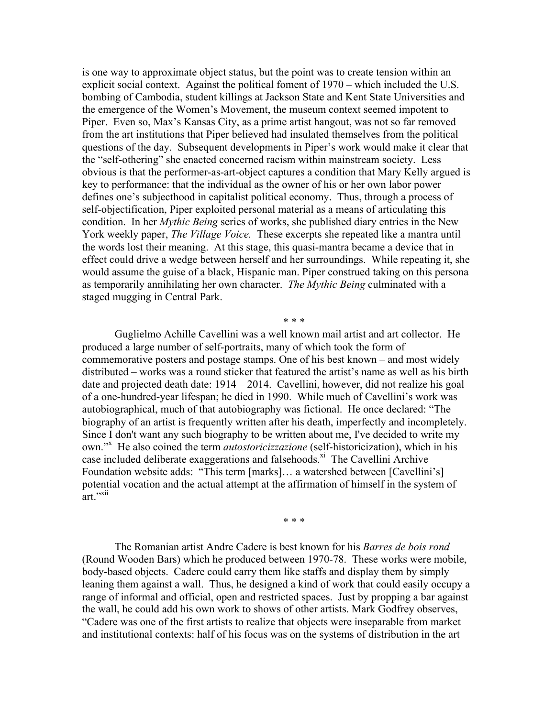is one way to approximate object status, but the point was to create tension within an explicit social context. Against the political foment of 1970 – which included the U.S. bombing of Cambodia, student killings at Jackson State and Kent State Universities and the emergence of the Women's Movement, the museum context seemed impotent to Piper. Even so, Max's Kansas City, as a prime artist hangout, was not so far removed from the art institutions that Piper believed had insulated themselves from the political questions of the day. Subsequent developments in Piper's work would make it clear that the "self-othering" she enacted concerned racism within mainstream society. Less obvious is that the performer-as-art-object captures a condition that Mary Kelly argued is key to performance: that the individual as the owner of his or her own labor power defines one's subjecthood in capitalist political economy. Thus, through a process of self-objectification, Piper exploited personal material as a means of articulating this condition. In her *Mythic Being* series of works, she published diary entries in the New York weekly paper, *The Village Voice.* These excerpts she repeated like a mantra until the words lost their meaning. At this stage, this quasi-mantra became a device that in effect could drive a wedge between herself and her surroundings. While repeating it, she would assume the guise of a black, Hispanic man. Piper construed taking on this persona as temporarily annihilating her own character. *The Mythic Being* culminated with a staged mugging in Central Park.

Guglielmo Achille Cavellini was a well known mail artist and art collector. He produced a large number of self-portraits, many of which took the form of commemorative posters and postage stamps. One of his best known – and most widely distributed – works was a round sticker that featured the artist's name as well as his birth date and projected death date: 1914 – 2014. Cavellini, however, did not realize his goal of a one-hundred-year lifespan; he died in 1990. While much of Cavellini's work was autobiographical, much of that autobiography was fictional. He once declared: "The biography of an artist is frequently written after his death, imperfectly and incompletely. Since I don't want any such biography to be written about me, I've decided to write my own."<sup>X</sup> He also coined the term *autostoricizzazione* (self-historicization), which in his case included deliberate exaggerations and falsehoods.<sup>xi</sup> The Cavellini Archive Foundation website adds: "This term [marks]… a watershed between [Cavellini's] potential vocation and the actual attempt at the affirmation of himself in the system of art.''<sup>xii</sup>

\* \* \*

\* \* \*

The Romanian artist Andre Cadere is best known for his *Barres de bois rond* (Round Wooden Bars) which he produced between 1970-78. These works were mobile, body-based objects. Cadere could carry them like staffs and display them by simply leaning them against a wall. Thus, he designed a kind of work that could easily occupy a range of informal and official, open and restricted spaces. Just by propping a bar against the wall, he could add his own work to shows of other artists. Mark Godfrey observes, "Cadere was one of the first artists to realize that objects were inseparable from market and institutional contexts: half of his focus was on the systems of distribution in the art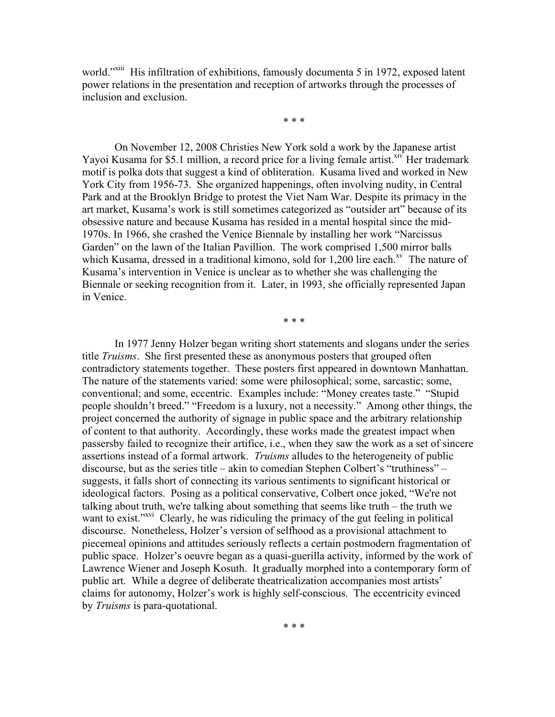world."<sup>xiii</sup> His infiltration of exhibitions, famously documenta 5 in 1972, exposed latent power relations in the presentation and reception of artworks through the processes of inclusion and exclusion.

\* \* \*

On November 12, 2008 Christies New York sold a work by the Japanese artist Yayoi Kusama for \$5.1 million, a record price for a living female artist.<sup>xiv</sup> Her trademark motif is polka dots that suggest a kind of obliteration. Kusama lived and worked in New York City from 1956-73. She organized happenings, often involving nudity, in Central Park and at the Brooklyn Bridge to protest the Viet Nam War. Despite its primacy in the art market, Kusama's work is still sometimes categorized as "outsider art" because of its obsessive nature and because Kusama has resided in a mental hospital since the mid-1970s. In 1966, she crashed the Venice Biennale by installing her work "Narcissus Garden" on the lawn of the Italian Pavillion. The work comprised 1,500 mirror balls which Kusama, dressed in a traditional kimono, sold for  $1,200$  lire each.<sup>xv</sup> The nature of Kusama's intervention in Venice is unclear as to whether she was challenging the Biennale or seeking recognition from it. Later, in 1993, she officially represented Japan in Venice.

\* \* \*

In 1977 Jenny Holzer began writing short statements and slogans under the series title *Truisms*. She first presented these as anonymous posters that grouped often contradictory statements together. These posters first appeared in downtown Manhattan. The nature of the statements varied: some were philosophical; some, sarcastic; some, conventional; and some, eccentric. Examples include: "Money creates taste." "Stupid people shouldn't breed." "Freedom is a luxury, not a necessity." Among other things, the project concerned the authority of signage in public space and the arbitrary relationship of content to that authority. Accordingly, these works made the greatest impact when passersby failed to recognize their artifice, i.e., when they saw the work as a set of sincere assertions instead of a formal artwork. *Truisms* alludes to the heterogeneity of public discourse, but as the series title – akin to comedian Stephen Colbert's "truthiness" – suggests, it falls short of connecting its various sentiments to significant historical or ideological factors. Posing as a political conservative, Colbert once joked, "We're not talking about truth, we're talking about something that seems like truth – the truth we want to exist.<sup>"xvi</sup> Clearly, he was ridiculing the primacy of the gut feeling in political discourse. Nonetheless, Holzer's version of selfhood as a provisional attachment to piecemeal opinions and attitudes seriously reflects a certain postmodern fragmentation of public space. Holzer's oeuvre began as a quasi-guerilla activity, informed by the work of Lawrence Wiener and Joseph Kosuth. It gradually morphed into a contemporary form of public art. While a degree of deliberate theatricalization accompanies most artists' claims for autonomy, Holzer's work is highly self-conscious. The eccentricity evinced by *Truisms* is para-quotational.

\* \* \*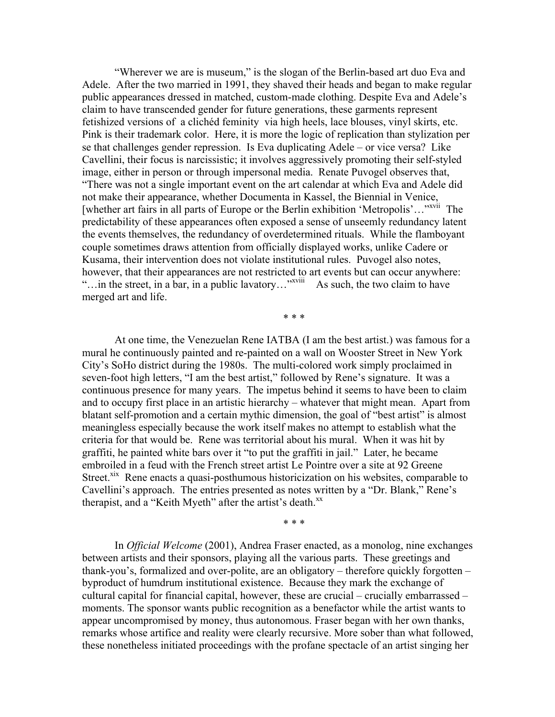"Wherever we are is museum," is the slogan of the Berlin-based art duo Eva and Adele. After the two married in 1991, they shaved their heads and began to make regular public appearances dressed in matched, custom-made clothing. Despite Eva and Adele's claim to have transcended gender for future generations, these garments represent fetishized versions of a clichéd feminity via high heels, lace blouses, vinyl skirts, etc. Pink is their trademark color. Here, it is more the logic of replication than stylization per se that challenges gender repression. Is Eva duplicating Adele – or vice versa? Like Cavellini, their focus is narcissistic; it involves aggressively promoting their self-styled image, either in person or through impersonal media. Renate Puvogel observes that, "There was not a single important event on the art calendar at which Eva and Adele did not make their appearance, whether Documenta in Kassel, the Biennial in Venice, [whether art fairs in all parts of Europe or the Berlin exhibition 'Metropolis'…"<sup>xvii</sup> The predictability of these appearances often exposed a sense of unseemly redundancy latent the events themselves, the redundancy of overdetermined rituals. While the flamboyant couple sometimes draws attention from officially displayed works, unlike Cadere or Kusama, their intervention does not violate institutional rules. Puvogel also notes, however, that their appearances are not restricted to art events but can occur anywhere: "... in the street, in a bar, in a public lavatory..."<sup>xviii</sup> As such, the two claim to have merged art and life.

\* \* \*

At one time, the Venezuelan Rene IATBA (I am the best artist.) was famous for a mural he continuously painted and re-painted on a wall on Wooster Street in New York City's SoHo district during the 1980s. The multi-colored work simply proclaimed in seven-foot high letters, "I am the best artist," followed by Rene's signature. It was a continuous presence for many years. The impetus behind it seems to have been to claim and to occupy first place in an artistic hierarchy – whatever that might mean. Apart from blatant self-promotion and a certain mythic dimension, the goal of "best artist" is almost meaningless especially because the work itself makes no attempt to establish what the criteria for that would be. Rene was territorial about his mural. When it was hit by graffiti, he painted white bars over it "to put the graffiti in jail." Later, he became embroiled in a feud with the French street artist Le Pointre over a site at 92 Greene Street.<sup>xix</sup> Rene enacts a quasi-posthumous historicization on his websites, comparable to Cavellini's approach. The entries presented as notes written by a "Dr. Blank," Rene's therapist, and a "Keith Myeth" after the artist's death.<sup>xx</sup>

\* \* \*

In *Official Welcome* (2001), Andrea Fraser enacted, as a monolog, nine exchanges between artists and their sponsors, playing all the various parts. These greetings and thank-you's, formalized and over-polite, are an obligatory – therefore quickly forgotten – byproduct of humdrum institutional existence. Because they mark the exchange of cultural capital for financial capital, however, these are crucial – crucially embarrassed – moments. The sponsor wants public recognition as a benefactor while the artist wants to appear uncompromised by money, thus autonomous. Fraser began with her own thanks, remarks whose artifice and reality were clearly recursive. More sober than what followed, these nonetheless initiated proceedings with the profane spectacle of an artist singing her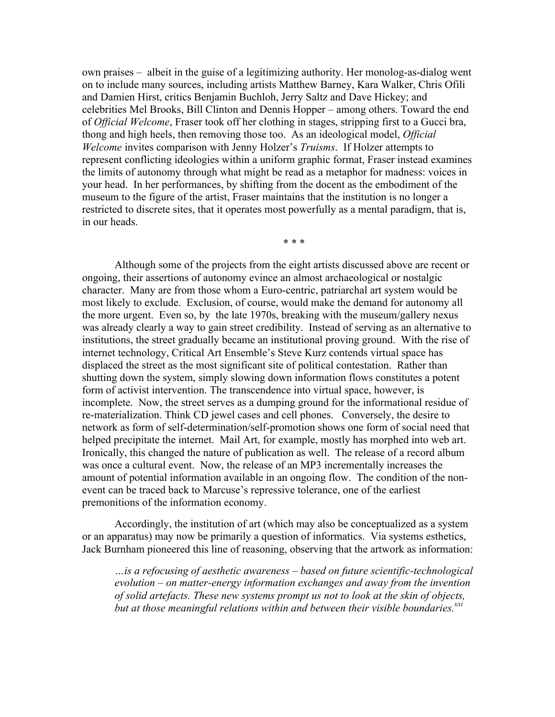own praises – albeit in the guise of a legitimizing authority. Her monolog-as-dialog went on to include many sources, including artists Matthew Barney, Kara Walker, Chris Ofili and Damien Hirst, critics Benjamin Buchloh, Jerry Saltz and Dave Hickey; and celebrities Mel Brooks, Bill Clinton and Dennis Hopper – among others. Toward the end of *Official Welcome*, Fraser took off her clothing in stages, stripping first to a Gucci bra, thong and high heels, then removing those too. As an ideological model, *Official Welcome* invites comparison with Jenny Holzer's *Truisms*. If Holzer attempts to represent conflicting ideologies within a uniform graphic format, Fraser instead examines the limits of autonomy through what might be read as a metaphor for madness: voices in your head. In her performances, by shifting from the docent as the embodiment of the museum to the figure of the artist, Fraser maintains that the institution is no longer a restricted to discrete sites, that it operates most powerfully as a mental paradigm, that is, in our heads.

\* \* \*

Although some of the projects from the eight artists discussed above are recent or ongoing, their assertions of autonomy evince an almost archaeological or nostalgic character. Many are from those whom a Euro-centric, patriarchal art system would be most likely to exclude. Exclusion, of course, would make the demand for autonomy all the more urgent. Even so, by the late 1970s, breaking with the museum/gallery nexus was already clearly a way to gain street credibility. Instead of serving as an alternative to institutions, the street gradually became an institutional proving ground. With the rise of internet technology, Critical Art Ensemble's Steve Kurz contends virtual space has displaced the street as the most significant site of political contestation. Rather than shutting down the system, simply slowing down information flows constitutes a potent form of activist intervention. The transcendence into virtual space, however, is incomplete. Now, the street serves as a dumping ground for the informational residue of re-materialization. Think CD jewel cases and cell phones. Conversely, the desire to network as form of self-determination/self-promotion shows one form of social need that helped precipitate the internet. Mail Art, for example, mostly has morphed into web art. Ironically, this changed the nature of publication as well. The release of a record album was once a cultural event. Now, the release of an MP3 incrementally increases the amount of potential information available in an ongoing flow. The condition of the nonevent can be traced back to Marcuse's repressive tolerance, one of the earliest premonitions of the information economy.

Accordingly, the institution of art (which may also be conceptualized as a system or an apparatus) may now be primarily a question of informatics. Via systems esthetics, Jack Burnham pioneered this line of reasoning, observing that the artwork as information:

*…is a refocusing of aesthetic awareness – based on future scientific-technological evolution – on matter-energy information exchanges and away from the invention of solid artefacts. These new systems prompt us not to look at the skin of objects,*  but at those meaningful relations within and between their visible boundaries.<sup>xxi</sup>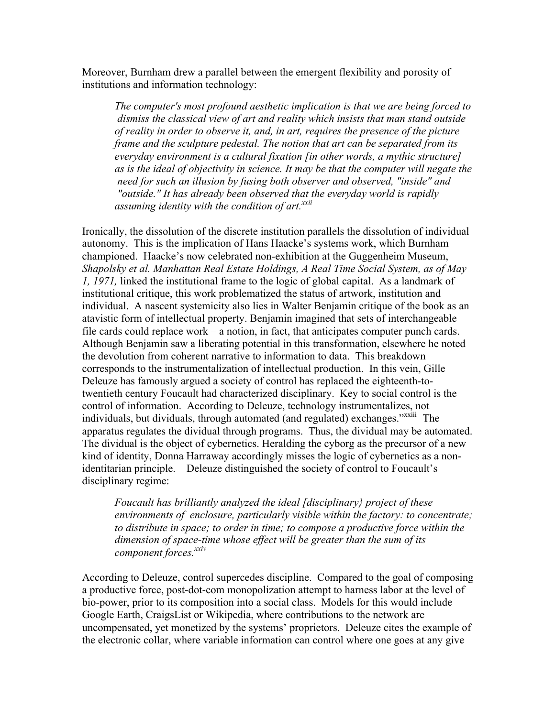Moreover, Burnham drew a parallel between the emergent flexibility and porosity of institutions and information technology:

*The computer's most profound aesthetic implication is that we are being forced to dismiss the classical view of art and reality which insists that man stand outside of reality in order to observe it, and, in art, requires the presence of the picture frame and the sculpture pedestal. The notion that art can be separated from its everyday environment is a cultural fixation [in other words, a mythic structure] as is the ideal of objectivity in science. It may be that the computer will negate the need for such an illusion by fusing both observer and observed, "inside" and "outside." It has already been observed that the everyday world is rapidly assuming identity with the condition of art.xxii*

Ironically, the dissolution of the discrete institution parallels the dissolution of individual autonomy. This is the implication of Hans Haacke's systems work, which Burnham championed. Haacke's now celebrated non-exhibition at the Guggenheim Museum, *Shapolsky et al. Manhattan Real Estate Holdings, A Real Time Social System, as of May 1, 1971,* linked the institutional frame to the logic of global capital. As a landmark of institutional critique, this work problematized the status of artwork, institution and individual. A nascent systemicity also lies in Walter Benjamin critique of the book as an atavistic form of intellectual property. Benjamin imagined that sets of interchangeable file cards could replace work – a notion, in fact, that anticipates computer punch cards. Although Benjamin saw a liberating potential in this transformation, elsewhere he noted the devolution from coherent narrative to information to data. This breakdown corresponds to the instrumentalization of intellectual production. In this vein, Gille Deleuze has famously argued a society of control has replaced the eighteenth-totwentieth century Foucault had characterized disciplinary. Key to social control is the control of information. According to Deleuze, technology instrumentalizes, not individuals, but dividuals, through automated (and regulated) exchanges."xxiii The apparatus regulates the dividual through programs. Thus, the dividual may be automated. The dividual is the object of cybernetics. Heralding the cyborg as the precursor of a new kind of identity, Donna Harraway accordingly misses the logic of cybernetics as a nonidentitarian principle. Deleuze distinguished the society of control to Foucault's disciplinary regime:

*Foucault has brilliantly analyzed the ideal [disciplinary} project of these environments of enclosure, particularly visible within the factory: to concentrate; to distribute in space; to order in time; to compose a productive force within the dimension of space-time whose effect will be greater than the sum of its component forces.xxiv* 

According to Deleuze, control supercedes discipline. Compared to the goal of composing a productive force, post-dot-com monopolization attempt to harness labor at the level of bio-power, prior to its composition into a social class. Models for this would include Google Earth, CraigsList or Wikipedia, where contributions to the network are uncompensated, yet monetized by the systems' proprietors. Deleuze cites the example of the electronic collar, where variable information can control where one goes at any give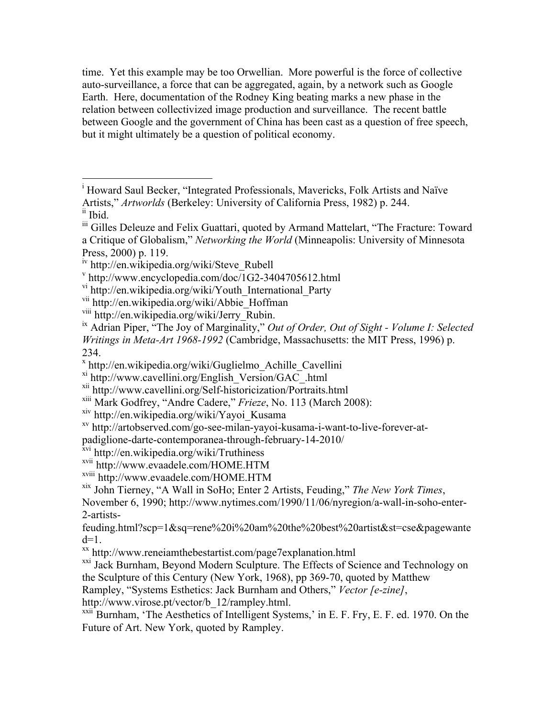time. Yet this example may be too Orwellian. More powerful is the force of collective auto-surveillance, a force that can be aggregated, again, by a network such as Google Earth. Here, documentation of the Rodney King beating marks a new phase in the relation between collectivized image production and surveillance. The recent battle between Google and the government of China has been cast as a question of free speech, but it might ultimately be a question of political economy.

padiglione-darte-contemporanea-through-february-14-2010/

xix John Tierney, "A Wall in SoHo; Enter 2 Artists, Feuding," *The New York Times*,

November 6, 1990; http://www.nytimes.com/1990/11/06/nyregion/a-wall-in-soho-enter-2-artists-

feuding.html?scp=1&sq=rene%20i%20am%20the%20best%20artist&st=cse&pagewante

d=1.<br>xx http://www.reneiamthebestartist.com/page7explanation.html

<sup>xxi</sup> Jack Burnham, Beyond Modern Sculpture. The Effects of Science and Technology on the Sculpture of this Century (New York, 1968), pp 369-70, quoted by Matthew

Rampley, "Systems Esthetics: Jack Burnham and Others," *Vector [e-zine]*,

 $\frac{x}{x}$ <sup>xxii</sup> Burnham, 'The Aesthetics of Intelligent Systems,' in E. F. Fry, E. F. ed. 1970. On the Future of Art. New York, quoted by Rampley.

<sup>|&</sup>lt;br>i <sup>i</sup> Howard Saul Becker, "Integrated Professionals, Mavericks, Folk Artists and Naïve Artists," *Artworlds* (Berkeley: University of California Press, 1982) p. 244.

ii Ibid.

iii Gilles Deleuze and Felix Guattari, quoted by Armand Mattelart, "The Fracture: Toward a Critique of Globalism," *Networking the World* (Minneapolis: University of Minnesota Press, 2000) p. 119.<br>iv http://en.wikipedia.org/wiki/Steve Rubell

 $\text{with}$  http://www.encyclopedia.com/doc/1G2-3404705612.html

vi http://en.wikipedia.org/wiki/Youth\_International\_Party

<sup>&</sup>lt;sup>vii</sup> http://en.wikipedia.org/wiki/Abbie\_Hoffman<br><sup>viii</sup> http://en.wikipedia.org/wiki/Jerry\_Rubin.

<sup>&</sup>lt;sup>ix</sup> Adrian Piper, "The Joy of Marginality," *Out of Order, Out of Sight - Volume I: Selected Writings in Meta-Art 1968-1992* (Cambridge, Massachusetts: the MIT Press, 1996) p. 234.

<sup>x</sup> http://en.wikipedia.org/wiki/Guglielmo\_Achille\_Cavellini

 $x_i$  http://www.cavellini.org/English\_Version/GAC\_.html

xii http://www.cavellini.org/Self-historicization/Portraits.html

<sup>&</sup>lt;sup>xiii</sup> Mark Godfrey, "Andre Cadere," *Frieze*, No. 113 (March 2008): <sup>xiv</sup> http://en.wikipedia.org/wiki/Yayoi Kusama

 $x<sub>v</sub>$  http://artobserved.com/go-see-milan-yayoi-kusama-i-want-to-live-forever-at-

xvi http://en.wikipedia.org/wiki/Truthiness

xvii http://www.evaadele.com/HOME.HTM

xviii http://www.evaadele.com/HOME.HTM